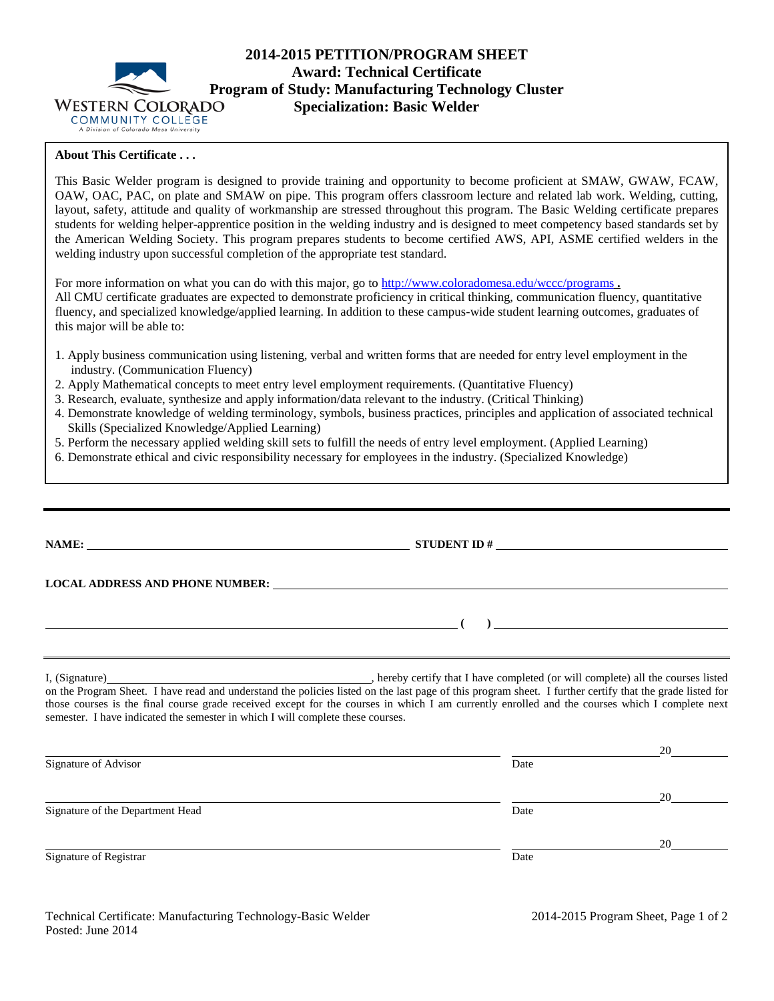

# **2014-2015 PETITION/PROGRAM SHEET Award: Technical Certificate Program of Study: Manufacturing Technology Cluster**<br>WESTERN COLORADO **Specialization: Basic Welder Specialization: Basic Welder**

## **About This Certificate . . .**

This Basic Welder program is designed to provide training and opportunity to become proficient at SMAW, GWAW, FCAW, OAW, OAC, PAC, on plate and SMAW on pipe. This program offers classroom lecture and related lab work. Welding, cutting, layout, safety, attitude and quality of workmanship are stressed throughout this program. The Basic Welding certificate prepares students for welding helper-apprentice position in the welding industry and is designed to meet competency based standards set by the American Welding Society. This program prepares students to become certified AWS, API, ASME certified welders in the welding industry upon successful completion of the appropriate test standard.

For more information on what you can do with this major, go to<http://www.coloradomesa.edu/wccc/programs> **.** All CMU certificate graduates are expected to demonstrate proficiency in critical thinking, communication fluency, quantitative fluency, and specialized knowledge/applied learning. In addition to these campus-wide student learning outcomes, graduates of this major will be able to:

- 1. Apply business communication using listening, verbal and written forms that are needed for entry level employment in the industry. (Communication Fluency)
- 2. Apply Mathematical concepts to meet entry level employment requirements. (Quantitative Fluency)
- 3. Research, evaluate, synthesize and apply information/data relevant to the industry. (Critical Thinking)
- 4. Demonstrate knowledge of welding terminology, symbols, business practices, principles and application of associated technical Skills (Specialized Knowledge/Applied Learning)
- 5. Perform the necessary applied welding skill sets to fulfill the needs of entry level employment. (Applied Learning)
- 6. Demonstrate ethical and civic responsibility necessary for employees in the industry. (Specialized Knowledge)

|                                                                                 | NAME: $STUDENT ID #$                                                                                                                           |                                                                |
|---------------------------------------------------------------------------------|------------------------------------------------------------------------------------------------------------------------------------------------|----------------------------------------------------------------|
|                                                                                 |                                                                                                                                                |                                                                |
|                                                                                 |                                                                                                                                                | ) and the contract of the contract of $\overline{\phantom{a}}$ |
|                                                                                 |                                                                                                                                                |                                                                |
| semester. I have indicated the semester in which I will complete these courses. | those courses is the final course grade received except for the courses in which I am currently enrolled and the courses which I complete next |                                                                |
|                                                                                 |                                                                                                                                                |                                                                |
| Signature of Advisor                                                            | Date                                                                                                                                           | 20                                                             |
|                                                                                 |                                                                                                                                                | 20                                                             |
| Signature of the Department Head                                                | Date                                                                                                                                           |                                                                |
|                                                                                 |                                                                                                                                                | 20                                                             |